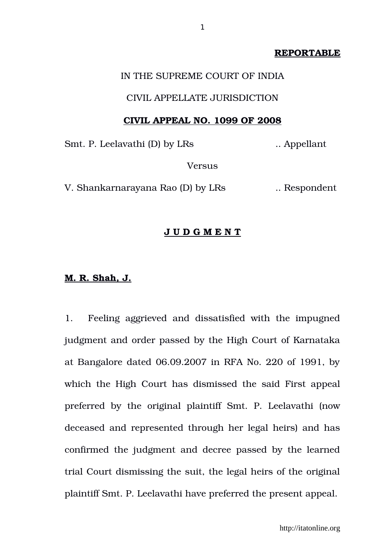### **REPORTABLE**

## IN THE SUPREME COURT OF INDIA

### CIVIL APPELLATE JURISDICTION

#### **CIVIL APPEAL NO. 1099 OF 2008**

Smt. P. Leelavathi (D) by LRs ... Appellant

Versus

V. Shankarnarayana Rao (D) by LRs ... Respondent

# **J U D G M E N T**

#### **M. R. Shah, J.**

1. Feeling aggrieved and dissatisfied with the impugned judgment and order passed by the High Court of Karnataka at Bangalore dated 06.09.2007 in RFA No. 220 of 1991, by which the High Court has dismissed the said First appeal preferred by the original plaintiff Smt. P. Leelavathi (now deceased and represented through her legal heirs) and has confirmed the judgment and decree passed by the learned trial Court dismissing the suit, the legal heirs of the original plaintiff Smt. P. Leelavathi have preferred the present appeal.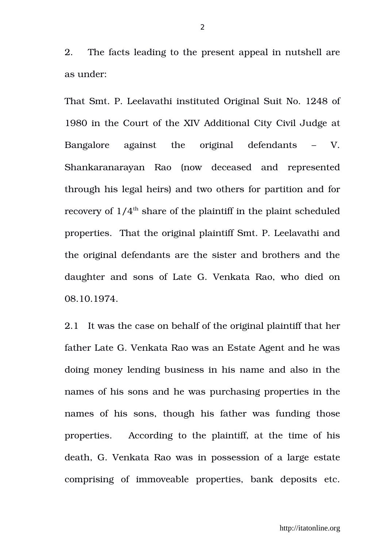2. The facts leading to the present appeal in nutshell are as under:

That Smt. P. Leelavathi instituted Original Suit No. 1248 of 1980 in the Court of the XIV Additional City Civil Judge at Bangalore against the original defendants – V. Shankaranarayan Rao (now deceased and represented through his legal heirs) and two others for partition and for recovery of  $1/4<sup>th</sup>$  share of the plaintiff in the plaint scheduled properties. That the original plaintiff Smt. P. Leelavathi and the original defendants are the sister and brothers and the daughter and sons of Late G. Venkata Rao, who died on 08.10.1974.

2.1 It was the case on behalf of the original plaintiff that her father Late G. Venkata Rao was an Estate Agent and he was doing money lending business in his name and also in the names of his sons and he was purchasing properties in the names of his sons, though his father was funding those properties. According to the plaintiff, at the time of his death, G. Venkata Rao was in possession of a large estate comprising of immoveable properties, bank deposits etc.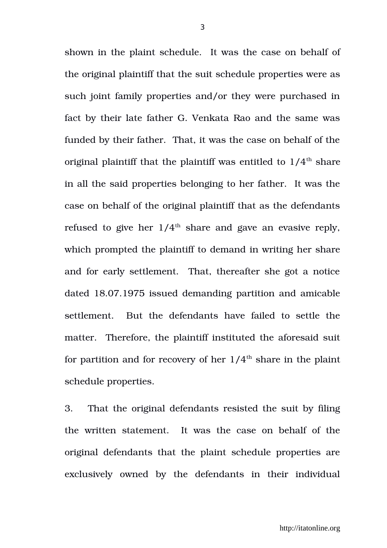shown in the plaint schedule. It was the case on behalf of the original plaintiff that the suit schedule properties were as such joint family properties and/or they were purchased in fact by their late father G. Venkata Rao and the same was funded by their father. That, it was the case on behalf of the original plaintiff that the plaintiff was entitled to  $1/4<sup>th</sup>$  share in all the said properties belonging to her father. It was the case on behalf of the original plaintiff that as the defendants refused to give her  $1/4<sup>th</sup>$  share and gave an evasive reply, which prompted the plaintiff to demand in writing her share and for early settlement. That, thereafter she got a notice dated 18.07.1975 issued demanding partition and amicable settlement. But the defendants have failed to settle the matter. Therefore, the plaintiff instituted the aforesaid suit for partition and for recovery of her  $1/4<sup>th</sup>$  share in the plaint schedule properties.

3. That the original defendants resisted the suit by filing the written statement. It was the case on behalf of the original defendants that the plaint schedule properties are exclusively owned by the defendants in their individual

3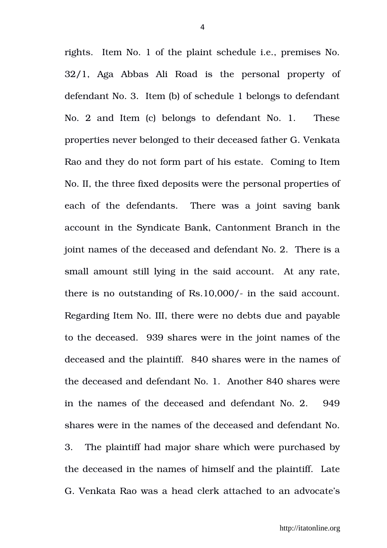rights. Item No. 1 of the plaint schedule i.e., premises No. 32/1, Aga Abbas Ali Road is the personal property of defendant No. 3. Item (b) of schedule 1 belongs to defendant No. 2 and Item (c) belongs to defendant No. 1. These properties never belonged to their deceased father G. Venkata Rao and they do not form part of his estate. Coming to Item No. II, the three fixed deposits were the personal properties of each of the defendants. There was a joint saving bank account in the Syndicate Bank, Cantonment Branch in the joint names of the deceased and defendant No. 2. There is a small amount still lying in the said account. At any rate, there is no outstanding of Rs.10,000/- in the said account. Regarding Item No. III, there were no debts due and payable to the deceased. 939 shares were in the joint names of the deceased and the plaintiff. 840 shares were in the names of the deceased and defendant No. 1. Another 840 shares were in the names of the deceased and defendant No. 2. 949 shares were in the names of the deceased and defendant No. 3. The plaintiff had major share which were purchased by the deceased in the names of himself and the plaintiff. Late G. Venkata Rao was a head clerk attached to an advocate's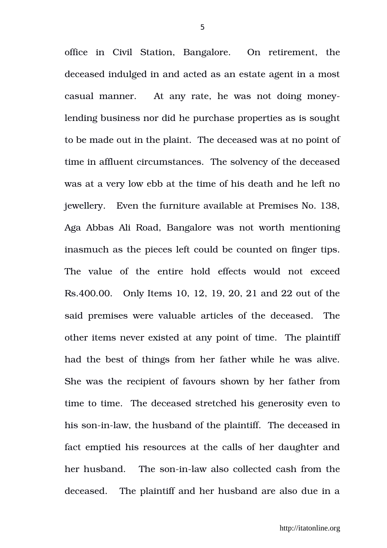office in Civil Station, Bangalore. On retirement, the deceased indulged in and acted as an estate agent in a most casual manner. At any rate, he was not doing moneylending business nor did he purchase properties as is sought to be made out in the plaint. The deceased was at no point of time in affluent circumstances. The solvency of the deceased was at a very low ebb at the time of his death and he left no jewellery. Even the furniture available at Premises No. 138, Aga Abbas Ali Road, Bangalore was not worth mentioning inasmuch as the pieces left could be counted on finger tips. The value of the entire hold effects would not exceed Rs.400.00. Only Items 10, 12, 19, 20, 21 and 22 out of the said premises were valuable articles of the deceased. The other items never existed at any point of time. The plaintiff had the best of things from her father while he was alive. She was the recipient of favours shown by her father from time to time. The deceased stretched his generosity even to his son-in-law, the husband of the plaintiff. The deceased in fact emptied his resources at the calls of her daughter and her husband. The son-in-law also collected cash from the deceased. The plaintiff and her husband are also due in a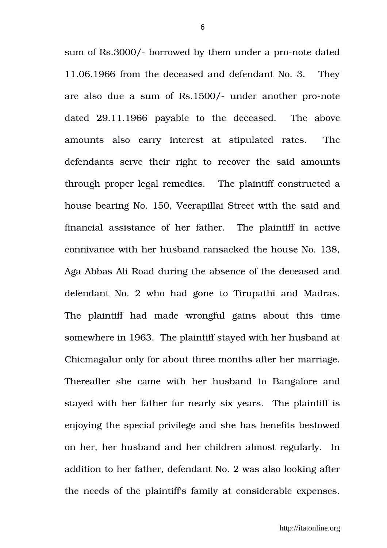sum of Rs.3000/- borrowed by them under a pro-note dated 11.06.1966 from the deceased and defendant No. 3. They are also due a sum of Rs.1500/- under another pro-note dated 29.11.1966 payable to the deceased. The above amounts also carry interest at stipulated rates. The defendants serve their right to recover the said amounts through proper legal remedies. The plaintiff constructed a house bearing No. 150, Veerapillai Street with the said and financial assistance of her father. The plaintiff in active connivance with her husband ransacked the house No. 138, Aga Abbas Ali Road during the absence of the deceased and defendant No. 2 who had gone to Tirupathi and Madras. The plaintiff had made wrongful gains about this time somewhere in 1963. The plaintiff stayed with her husband at Chicmagalur only for about three months after her marriage. Thereafter she came with her husband to Bangalore and stayed with her father for nearly six years. The plaintiff is enjoying the special privilege and she has benefits bestowed on her, her husband and her children almost regularly. In addition to her father, defendant No. 2 was also looking after the needs of the plaintiff's family at considerable expenses.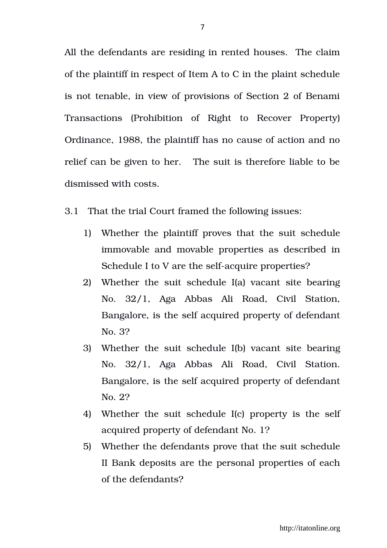All the defendants are residing in rented houses. The claim of the plaintiff in respect of Item A to C in the plaint schedule is not tenable, in view of provisions of Section 2 of Benami Transactions (Prohibition of Right to Recover Property) Ordinance, 1988, the plaintiff has no cause of action and no relief can be given to her. The suit is therefore liable to be dismissed with costs.

- 3.1 That the trial Court framed the following issues:
	- 1) Whether the plaintiff proves that the suit schedule immovable and movable properties as described in Schedule I to V are the self-acquire properties?
	- 2) Whether the suit schedule I(a) vacant site bearing No. 32/1, Aga Abbas Ali Road, Civil Station, Bangalore, is the self acquired property of defendant No. 3?
	- 3) Whether the suit schedule I(b) vacant site bearing No. 32/1, Aga Abbas Ali Road, Civil Station. Bangalore, is the self acquired property of defendant No. 2?
	- 4) Whether the suit schedule I(c) property is the self acquired property of defendant No. 1?
	- 5) Whether the defendants prove that the suit schedule II Bank deposits are the personal properties of each of the defendants?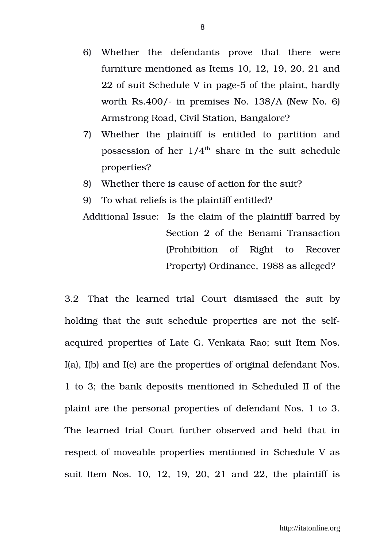- 6) Whether the defendants prove that there were furniture mentioned as Items 10, 12, 19, 20, 21 and 22 of suit Schedule V in page-5 of the plaint, hardly worth Rs.400/- in premises No.  $138/A$  (New No. 6) Armstrong Road, Civil Station, Bangalore?
- 7) Whether the plaintiff is entitled to partition and possession of her  $1/4<sup>th</sup>$  share in the suit schedule properties?
- 8) Whether there is cause of action for the suit?
- 9) To what reliefs is the plaintiff entitled?

Additional Issue: Is the claim of the plaintiff barred by Section 2 of the Benami Transaction (Prohibition of Right to Recover Property) Ordinance, 1988 as alleged?

3.2 That the learned trial Court dismissed the suit by holding that the suit schedule properties are not the selfacquired properties of Late G. Venkata Rao; suit Item Nos. I(a), I(b) and I(c) are the properties of original defendant Nos. 1 to 3; the bank deposits mentioned in Scheduled II of the plaint are the personal properties of defendant Nos. 1 to 3. The learned trial Court further observed and held that in respect of moveable properties mentioned in Schedule V as suit Item Nos. 10, 12, 19, 20, 21 and 22, the plaintiff is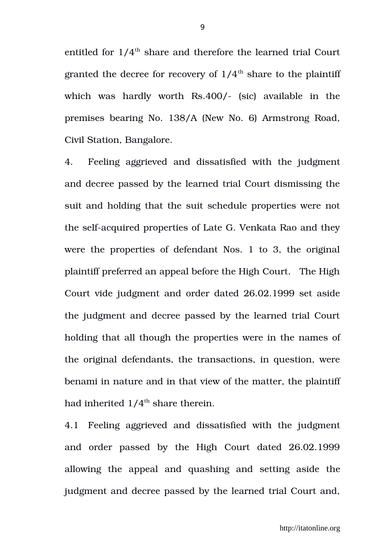entitled for  $1/4$ <sup>th</sup> share and therefore the learned trial Court granted the decree for recovery of  $1/4<sup>th</sup>$  share to the plaintiff which was hardly worth Rs.400/- (sic) available in the premises bearing No. 138/A (New No. 6) Armstrong Road, Civil Station, Bangalore.

4. Feeling aggrieved and dissatisfied with the judgment and decree passed by the learned trial Court dismissing the suit and holding that the suit schedule properties were not the self-acquired properties of Late G. Venkata Rao and they were the properties of defendant Nos. 1 to 3, the original plaintiff preferred an appeal before the High Court. The High Court vide judgment and order dated 26.02.1999 set aside the judgment and decree passed by the learned trial Court holding that all though the properties were in the names of the original defendants, the transactions, in question, were benami in nature and in that view of the matter, the plaintiff had inherited  $1/4^{\text{th}}$  share therein.

4.1 Feeling aggrieved and dissatisfied with the judgment and order passed by the High Court dated 26.02.1999 allowing the appeal and quashing and setting aside the judgment and decree passed by the learned trial Court and,

9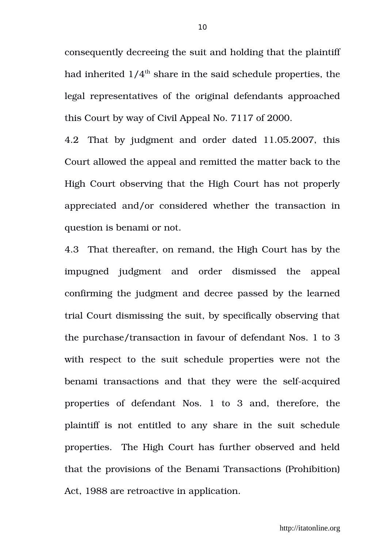consequently decreeing the suit and holding that the plaintiff had inherited  $1/4<sup>th</sup>$  share in the said schedule properties, the legal representatives of the original defendants approached this Court by way of Civil Appeal No. 7117 of 2000.

4.2 That by iudgment and order dated 11.05.2007, this Court allowed the appeal and remitted the matter back to the High Court observing that the High Court has not properly appreciated and/or considered whether the transaction in question is benami or not.

4.3 That thereafter, on remand, the High Court has by the impugned judgment and order dismissed the appeal confirming the judgment and decree passed by the learned trial Court dismissing the suit, by specifically observing that the purchase/transaction in favour of defendant Nos. 1 to 3 with respect to the suit schedule properties were not the benami transactions and that they were the self-acquired properties of defendant Nos. 1 to 3 and, therefore, the plaintiff is not entitled to any share in the suit schedule properties. The High Court has further observed and held that the provisions of the Benami Transactions (Prohibition) Act, 1988 are retroactive in application.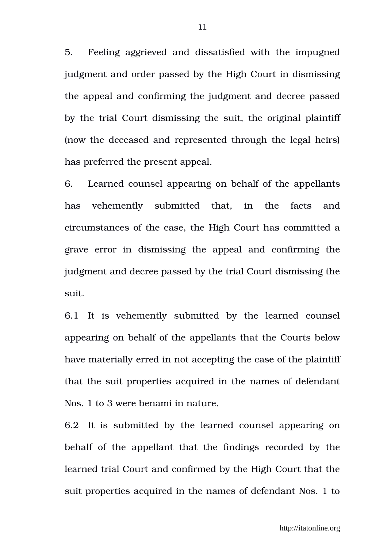5. Feeling aggrieved and dissatisfied with the impugned judgment and order passed by the High Court in dismissing the appeal and confirming the judgment and decree passed by the trial Court dismissing the suit, the original plaintiff (now the deceased and represented through the legal heirs) has preferred the present appeal.

6. Learned counsel appearing on behalf of the appellants has vehemently submitted that, in the facts and circumstances of the case, the High Court has committed a grave error in dismissing the appeal and confirming the judgment and decree passed by the trial Court dismissing the suit.

6.1 It is vehemently submitted by the learned counsel appearing on behalf of the appellants that the Courts below have materially erred in not accepting the case of the plaintiff that the suit properties acquired in the names of defendant Nos. 1 to 3 were benami in nature.

6.2 It is submitted by the learned counsel appearing on behalf of the appellant that the findings recorded by the learned trial Court and confirmed by the High Court that the suit properties acquired in the names of defendant Nos. 1 to

11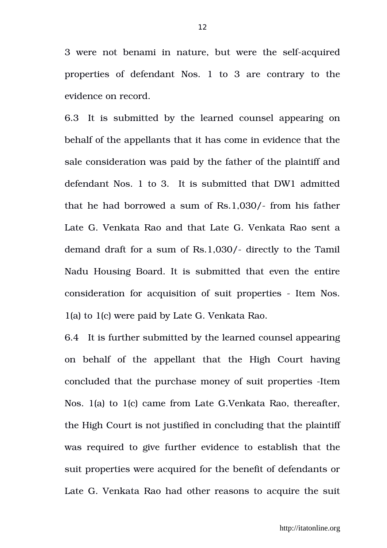3 were not benami in nature, but were the self-acquired properties of defendant Nos. 1 to 3 are contrary to the evidence on record.

6.3 It is submitted by the learned counsel appearing on behalf of the appellants that it has come in evidence that the sale consideration was paid by the father of the plaintiff and defendant Nos. 1 to 3. It is submitted that DW1 admitted that he had borrowed a sum of  $Rs.1,030/$ - from his father Late G. Venkata Rao and that Late G. Venkata Rao sent a demand draft for a sum of Rs.1,030/- directly to the Tamil Nadu Housing Board. It is submitted that even the entire consideration for acquisition of suit properties Item Nos. 1(a) to 1(c) were paid by Late G. Venkata Rao.

6.4 It is further submitted by the learned counsel appearing on behalf of the appellant that the High Court having concluded that the purchase money of suit properties -Item Nos. 1(a) to 1(c) came from Late G.Venkata Rao, thereafter, the High Court is not justified in concluding that the plaintiff was required to give further evidence to establish that the suit properties were acquired for the benefit of defendants or Late G. Venkata Rao had other reasons to acquire the suit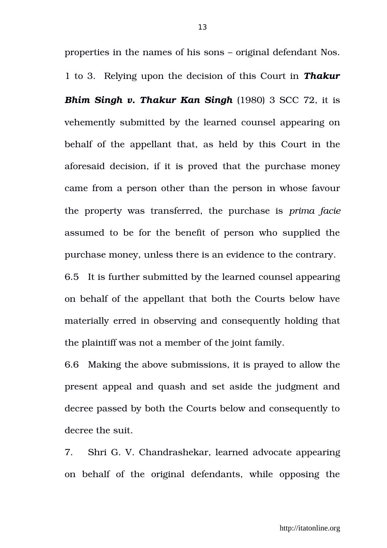properties in the names of his sons – original defendant Nos. 1 to 3. Relying upon the decision of this Court in *Thakur Bhim Singh v. Thakur Kan Singh* (1980) 3 SCC 72, it is vehemently submitted by the learned counsel appearing on behalf of the appellant that, as held by this Court in the aforesaid decision, if it is proved that the purchase money came from a person other than the person in whose favour the property was transferred, the purchase is *prima facie* assumed to be for the benefit of person who supplied the purchase money, unless there is an evidence to the contrary.

6.5 It is further submitted by the learned counsel appearing on behalf of the appellant that both the Courts below have materially erred in observing and consequently holding that the plaintiff was not a member of the joint family.

6.6 Making the above submissions, it is prayed to allow the present appeal and quash and set aside the judgment and decree passed by both the Courts below and consequently to decree the suit.

7. Shri G. V. Chandrashekar, learned advocate appearing on behalf of the original defendants, while opposing the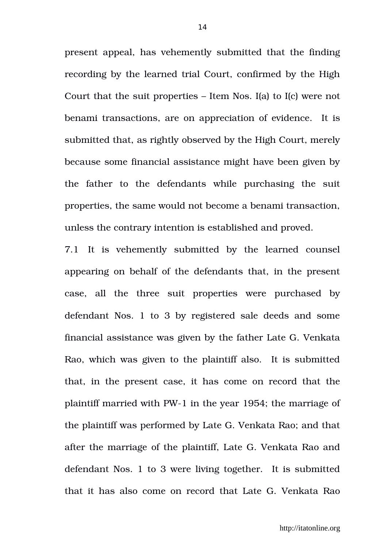present appeal, has vehemently submitted that the finding recording by the learned trial Court, confirmed by the High Court that the suit properties – Item Nos. I(a) to I(c) were not benami transactions, are on appreciation of evidence. It is submitted that, as rightly observed by the High Court, merely because some financial assistance might have been given by the father to the defendants while purchasing the suit properties, the same would not become a benami transaction, unless the contrary intention is established and proved.

7.1 It is vehemently submitted by the learned counsel appearing on behalf of the defendants that, in the present case, all the three suit properties were purchased by defendant Nos. 1 to 3 by registered sale deeds and some financial assistance was given by the father Late G. Venkata Rao, which was given to the plaintiff also. It is submitted that, in the present case, it has come on record that the plaintiff married with PW1 in the year 1954; the marriage of the plaintiff was performed by Late G. Venkata Rao; and that after the marriage of the plaintiff, Late G. Venkata Rao and defendant Nos. 1 to 3 were living together. It is submitted that it has also come on record that Late G. Venkata Rao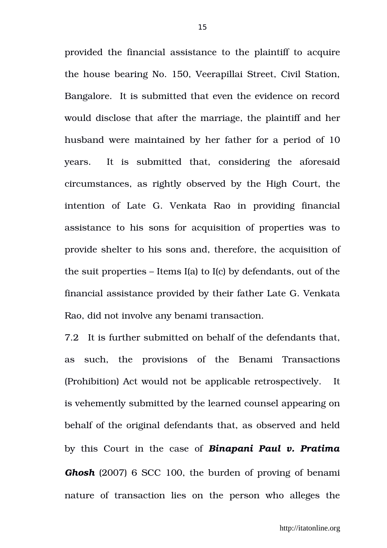provided the financial assistance to the plaintiff to acquire the house bearing No. 150, Veerapillai Street, Civil Station, Bangalore. It is submitted that even the evidence on record would disclose that after the marriage, the plaintiff and her husband were maintained by her father for a period of 10 years. It is submitted that, considering the aforesaid circumstances, as rightly observed by the High Court, the intention of Late G. Venkata Rao in providing financial assistance to his sons for acquisition of properties was to provide shelter to his sons and, therefore, the acquisition of the suit properties – Items I(a) to I(c) by defendants, out of the financial assistance provided by their father Late G. Venkata Rao, did not involve any benami transaction.

7.2 It is further submitted on behalf of the defendants that, as such, the provisions of the Benami Transactions (Prohibition) Act would not be applicable retrospectively. It is vehemently submitted by the learned counsel appearing on behalf of the original defendants that, as observed and held by this Court in the case of *Binapani Paul v. Pratima Ghosh* (2007) 6 SCC 100, the burden of proving of benami nature of transaction lies on the person who alleges the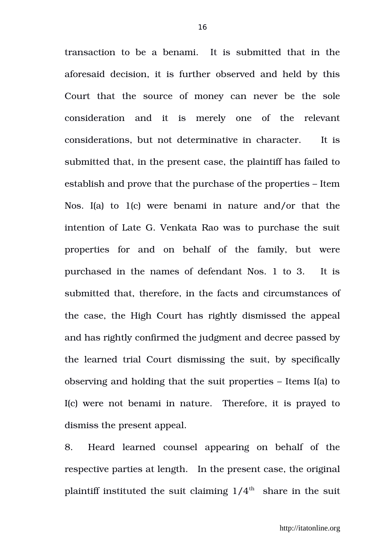transaction to be a benami. It is submitted that in the aforesaid decision, it is further observed and held by this Court that the source of money can never be the sole consideration and it is merely one of the relevant considerations, but not determinative in character. It is submitted that, in the present case, the plaintiff has failed to establish and prove that the purchase of the properties – Item Nos. I(a) to  $1(c)$  were benami in nature and/or that the intention of Late G. Venkata Rao was to purchase the suit properties for and on behalf of the family, but were purchased in the names of defendant Nos. 1 to 3. It is submitted that, therefore, in the facts and circumstances of the case, the High Court has rightly dismissed the appeal and has rightly confirmed the judgment and decree passed by the learned trial Court dismissing the suit, by specifically observing and holding that the suit properties – Items I(a) to I(c) were not benami in nature. Therefore, it is prayed to dismiss the present appeal.

8. Heard learned counsel appearing on behalf of the respective parties at length. In the present case, the original plaintiff instituted the suit claiming  $1/4<sup>th</sup>$  share in the suit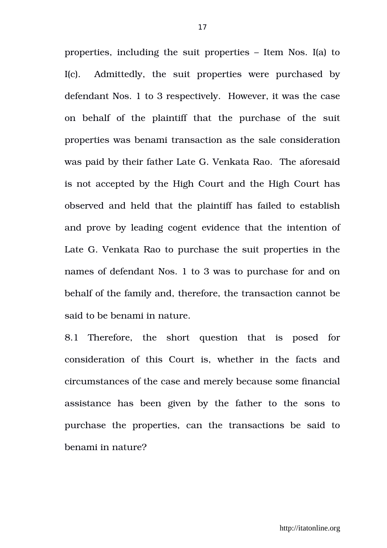properties, including the suit properties – Item Nos. I(a) to I(c). Admittedly, the suit properties were purchased by defendant Nos. 1 to 3 respectively. However, it was the case on behalf of the plaintiff that the purchase of the suit properties was benami transaction as the sale consideration was paid by their father Late G. Venkata Rao. The aforesaid is not accepted by the High Court and the High Court has observed and held that the plaintiff has failed to establish and prove by leading cogent evidence that the intention of Late G. Venkata Rao to purchase the suit properties in the names of defendant Nos. 1 to 3 was to purchase for and on behalf of the family and, therefore, the transaction cannot be said to be benami in nature.

8.1 Therefore, the short question that is posed for consideration of this Court is, whether in the facts and circumstances of the case and merely because some financial assistance has been given by the father to the sons to purchase the properties, can the transactions be said to benami in nature?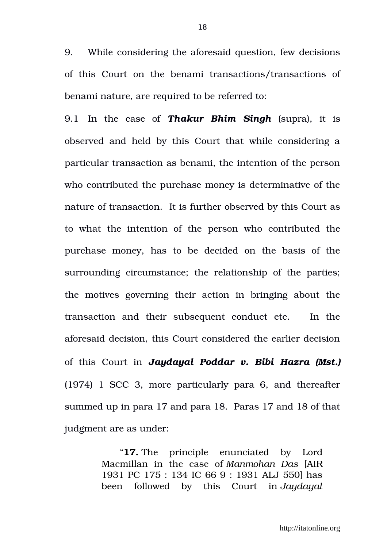9. While considering the aforesaid question, few decisions of this Court on the benami transactions/transactions of benami nature, are required to be referred to:

9.1 In the case of *Thakur Bhim Singh* (supra), it is observed and held by this Court that while considering a particular transaction as benami, the intention of the person who contributed the purchase money is determinative of the nature of transaction. It is further observed by this Court as to what the intention of the person who contributed the purchase money, has to be decided on the basis of the surrounding circumstance; the relationship of the parties; the motives governing their action in bringing about the transaction and their subsequent conduct etc. In the aforesaid decision, this Court considered the earlier decision of this Court in *Jaydayal Poddar v. Bibi Hazra (Mst.)* (1974) 1 SCC 3, more particularly para 6, and thereafter summed up in para 17 and para 18. Paras 17 and 18 of that judgment are as under:

> "**17.** The principle enunciated by Lord Macmillan in the case of *Manmohan Das* [AIR 1931 PC 175 : 134 IC 66 9 : 1931 ALJ 550] has been followed by this Court in *Jaydayal*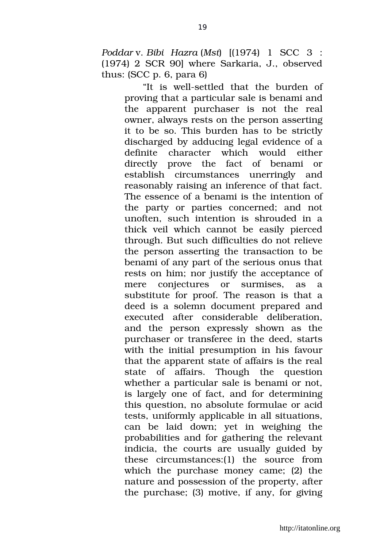*Poddar* v. *Bibi Hazra* (*Mst*) [(1974) 1 SCC 3 : (1974) 2 SCR 90] where Sarkaria, J., observed thus: (SCC p. 6, para 6)

> "It is well-settled that the burden of proving that a particular sale is benami and the apparent purchaser is not the real owner, always rests on the person asserting it to be so. This burden has to be strictly discharged by adducing legal evidence of a definite character which would either directly prove the fact of benami or establish circumstances unerringly and reasonably raising an inference of that fact. The essence of a benami is the intention of the party or parties concerned; and not unoften, such intention is shrouded in a thick veil which cannot be easily pierced through. But such difficulties do not relieve the person asserting the transaction to be benami of any part of the serious onus that rests on him; nor justify the acceptance of mere conjectures or surmises, as a substitute for proof. The reason is that a deed is a solemn document prepared and executed after considerable deliberation, and the person expressly shown as the purchaser or transferee in the deed, starts with the initial presumption in his favour that the apparent state of affairs is the real state of affairs. Though the question whether a particular sale is benami or not, is largely one of fact, and for determining this question, no absolute formulae or acid tests, uniformly applicable in all situations, can be laid down; yet in weighing the probabilities and for gathering the relevant indicia, the courts are usually guided by these circumstances: (1) the source from which the purchase money came; (2) the nature and possession of the property, after the purchase; (3) motive, if any, for giving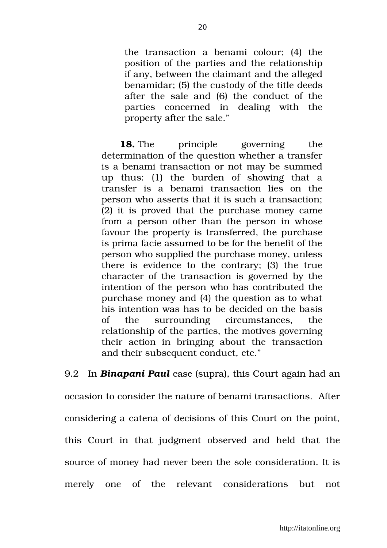the transaction a benami colour; (4) the position of the parties and the relationship if any, between the claimant and the alleged benamidar; (5) the custody of the title deeds after the sale and (6) the conduct of the parties concerned in dealing with the property after the sale."

**18.** The principle governing the determination of the question whether a transfer is a benami transaction or not may be summed up thus: (1) the burden of showing that a transfer is a benami transaction lies on the person who asserts that it is such a transaction; (2) it is proved that the purchase money came from a person other than the person in whose favour the property is transferred, the purchase is prima facie assumed to be for the benefit of the person who supplied the purchase money, unless there is evidence to the contrary; (3) the true character of the transaction is governed by the intention of the person who has contributed the purchase money and (4) the question as to what his intention was has to be decided on the basis of the surrounding circumstances, the relationship of the parties, the motives governing their action in bringing about the transaction and their subsequent conduct, etc."

9.2 In *Binapani Paul* case (supra), this Court again had an occasion to consider the nature of benami transactions. After considering a catena of decisions of this Court on the point, this Court in that judgment observed and held that the source of money had never been the sole consideration. It is merely one of the relevant considerations but not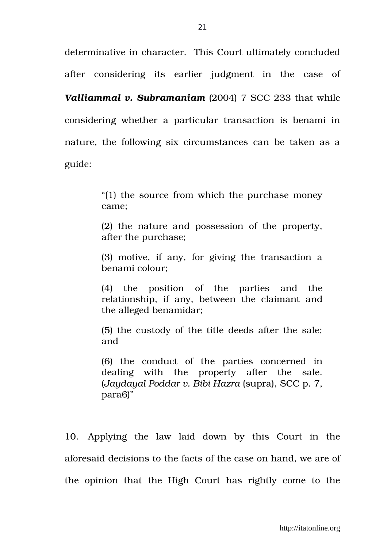determinative in character. This Court ultimately concluded after considering its earlier judgment in the case of *Valliammal v. Subramaniam* (2004) 7 SCC 233 that while considering whether a particular transaction is benami in nature, the following six circumstances can be taken as a

guide:

"(1) the source from which the purchase money came;

(2) the nature and possession of the property, after the purchase;

(3) motive, if any, for giving the transaction a benami colour;

(4) the position of the parties and the relationship, if any, between the claimant and the alleged benamidar;

(5) the custody of the title deeds after the sale; and

(6) the conduct of the parties concerned in dealing with the property after the sale. (*Jaydayal Poddar v. Bibi Hazra* (supra), SCC p. 7, para6)"

10. Applying the law laid down by this Court in the aforesaid decisions to the facts of the case on hand, we are of the opinion that the High Court has rightly come to the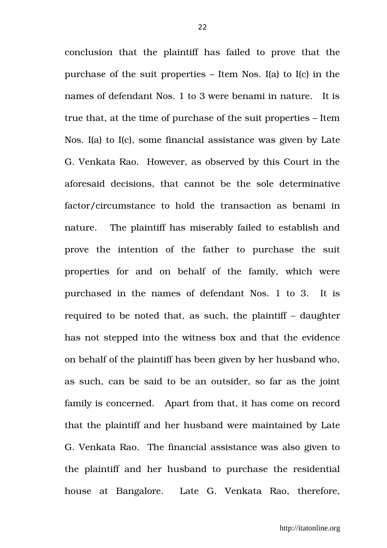conclusion that the plaintiff has failed to prove that the purchase of the suit properties – Item Nos. I(a) to I(c) in the names of defendant Nos. 1 to 3 were benami in nature. It is true that, at the time of purchase of the suit properties – Item Nos. I(a) to I(c), some financial assistance was given by Late G. Venkata Rao. However, as observed by this Court in the aforesaid decisions, that cannot be the sole determinative factor/circumstance to hold the transaction as benami in nature. The plaintiff has miserably failed to establish and prove the intention of the father to purchase the suit properties for and on behalf of the family, which were purchased in the names of defendant Nos. 1 to 3. It is required to be noted that, as such, the plaintiff – daughter has not stepped into the witness box and that the evidence on behalf of the plaintiff has been given by her husband who, as such, can be said to be an outsider, so far as the joint family is concerned. Apart from that, it has come on record that the plaintiff and her husband were maintained by Late G. Venkata Rao. The financial assistance was also given to the plaintiff and her husband to purchase the residential house at Bangalore. Late G. Venkata Rao, therefore,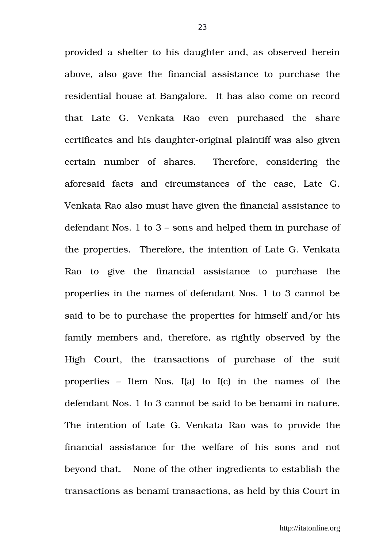provided a shelter to his daughter and, as observed herein above, also gave the financial assistance to purchase the residential house at Bangalore. It has also come on record that Late G. Venkata Rao even purchased the share certificates and his daughter-original plaintiff was also given certain number of shares. Therefore, considering the aforesaid facts and circumstances of the case, Late G. Venkata Rao also must have given the financial assistance to defendant Nos. 1 to 3 – sons and helped them in purchase of the properties. Therefore, the intention of Late G. Venkata Rao to give the financial assistance to purchase the properties in the names of defendant Nos. 1 to 3 cannot be said to be to purchase the properties for himself and/or his family members and, therefore, as rightly observed by the High Court, the transactions of purchase of the suit properties  $-$  Item Nos. I(a) to I(c) in the names of the defendant Nos. 1 to 3 cannot be said to be benami in nature. The intention of Late G. Venkata Rao was to provide the financial assistance for the welfare of his sons and not beyond that. None of the other ingredients to establish the transactions as benami transactions, as held by this Court in